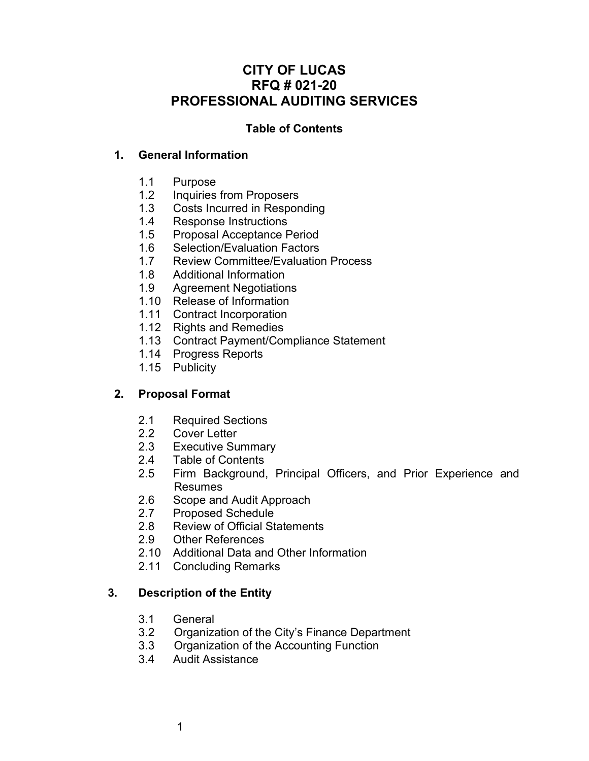# **CITY OF LUCAS RFQ # 021-20 PROFESSIONAL AUDITING SERVICES**

## **Table of Contents**

## **1. General Information**

- 1.1 Purpose
- 1.2 Inquiries from Proposers
- 1.3 Costs Incurred in Responding
- 1.4 Response Instructions
- 1.5 Proposal Acceptance Period
- 1.6 Selection/Evaluation Factors
- 1.7 Review Committee/Evaluation Process
- 1.8 Additional Information
- 1.9 Agreement Negotiations
- 1.10 Release of Information
- 1.11 Contract Incorporation
- 1.12 Rights and Remedies
- 1.13 Contract Payment/Compliance Statement
- 1.14 Progress Reports
- 1.15 Publicity

# **2. Proposal Format**

- 2.1 Required Sections
- 2.2 Cover Letter
- 2.3 Executive Summary
- 2.4 Table of Contents
- 2.5 Firm Background, Principal Officers, and Prior Experience and . Resumes
- 2.6 Scope and Audit Approach
- 2.7 Proposed Schedule
- 2.8 Review of Official Statements
- 2.9 Other References
- 2.10 Additional Data and Other Information
- 2.11 Concluding Remarks

# **3. Description of the Entity**

- 3.1 General
- 3.2 Organization of the City's Finance Department
- 3.3 Organization of the Accounting Function
- 3.4 Audit Assistance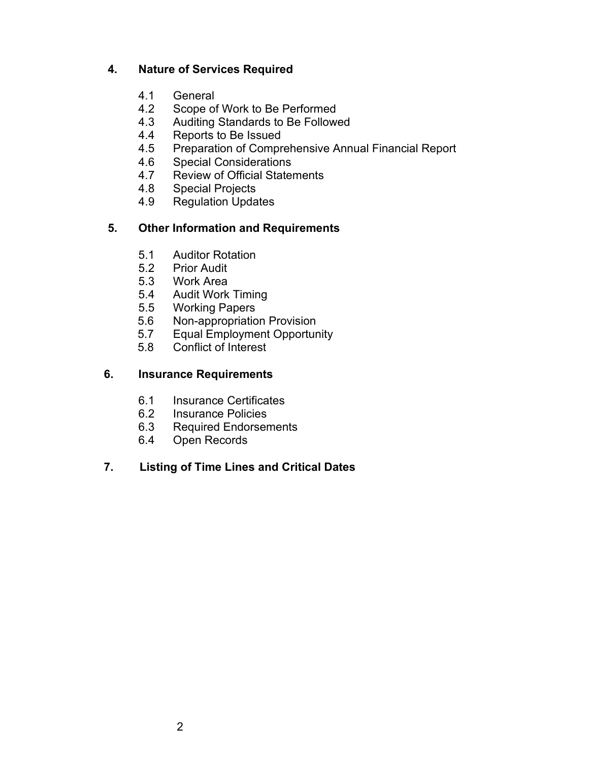# **4. Nature of Services Required**

- 4.1 General<br>4.2 Scope of
- 4.2 Scope of Work to Be Performed<br>4.3 Auditing Standards to Be Follow
- Auditing Standards to Be Followed
- 4.4 Reports to Be Issued<br>4.5 Preparation of Compre
- Preparation of Comprehensive Annual Financial Report
- 4.6 Special Considerations<br>4.7 Review of Official State
- Review of Official Statements
- 4.8 Special Projects
- 4.9 Regulation Updates

# **5. Other Information and Requirements**

- 5.1 Auditor Rotation
- 5.2 Prior Audit
- Work Area
- 5.4 Audit Work Timing
- 5.5 Working Papers
- 5.6 Non-appropriation Provision<br>5.7 Equal Employment Opportur
- Equal Employment Opportunity
- 5.8 Conflict of Interest

# **6. Insurance Requirements**

- 6.1 Insurance Certificates<br>6.2 Insurance Policies
- Insurance Policies
- 6.3 Required Endorsements<br>6.4 Open Records
- Open Records

# **7. Listing of Time Lines and Critical Dates**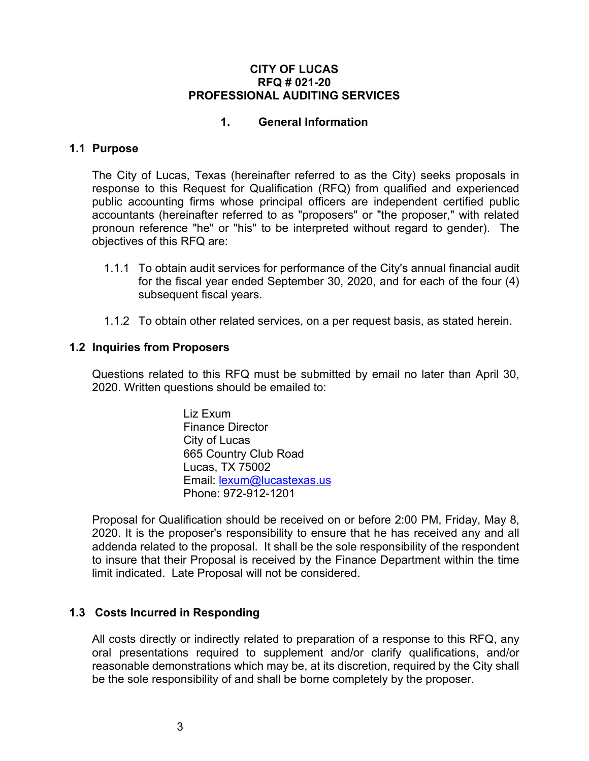#### **CITY OF LUCAS RFQ # 021-20 PROFESSIONAL AUDITING SERVICES**

## **1. General Information**

# **1.1 Purpose**

The City of Lucas, Texas (hereinafter referred to as the City) seeks proposals in response to this Request for Qualification (RFQ) from qualified and experienced public accounting firms whose principal officers are independent certified public accountants (hereinafter referred to as "proposers" or "the proposer," with related pronoun reference "he" or "his" to be interpreted without regard to gender). The objectives of this RFQ are:

- 1.1.1 To obtain audit services for performance of the City's annual financial audit for the fiscal year ended September 30, 2020, and for each of the four (4) subsequent fiscal years.
- 1.1.2 To obtain other related services, on a per request basis, as stated herein.

#### **1.2 Inquiries from Proposers**

Questions related to this RFQ must be submitted by email no later than April 30, 2020. Written questions should be emailed to:

> Liz Exum Finance Director City of Lucas 665 Country Club Road Lucas, TX 75002 Email: [lexum@lucastexas.us](mailto:lexum@lucastexas.us) Phone: 972-912-1201

Proposal for Qualification should be received on or before 2:00 PM, Friday, May 8, 2020. It is the proposer's responsibility to ensure that he has received any and all addenda related to the proposal. It shall be the sole responsibility of the respondent to insure that their Proposal is received by the Finance Department within the time limit indicated. Late Proposal will not be considered.

### **1.3 Costs Incurred in Responding**

All costs directly or indirectly related to preparation of a response to this RFQ, any oral presentations required to supplement and/or clarify qualifications, and/or reasonable demonstrations which may be, at its discretion, required by the City shall be the sole responsibility of and shall be borne completely by the proposer.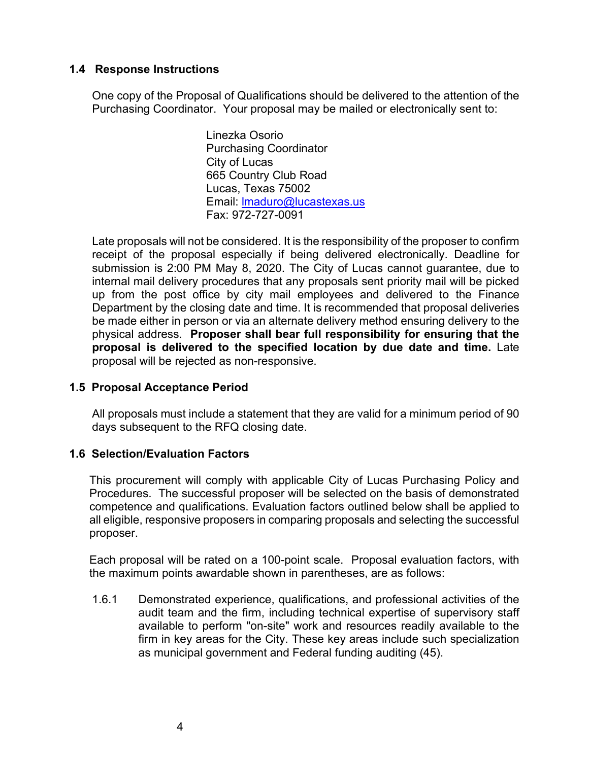### **1.4 Response Instructions**

One copy of the Proposal of Qualifications should be delivered to the attention of the Purchasing Coordinator. Your proposal may be mailed or electronically sent to:

> Linezka Osorio Purchasing Coordinator City of Lucas 665 Country Club Road Lucas, Texas 75002 Email: [lmaduro@lucastexas.us](mailto:lmaduro@lucastexas.us) Fax: 972-727-0091

Late proposals will not be considered. It is the responsibility of the proposer to confirm receipt of the proposal especially if being delivered electronically. Deadline for submission is 2:00 PM May 8, 2020. The City of Lucas cannot guarantee, due to internal mail delivery procedures that any proposals sent priority mail will be picked up from the post office by city mail employees and delivered to the Finance Department by the closing date and time. It is recommended that proposal deliveries be made either in person or via an alternate delivery method ensuring delivery to the physical address. **Proposer shall bear full responsibility for ensuring that the proposal is delivered to the specified location by due date and time.** Late proposal will be rejected as non-responsive.

### **1.5 Proposal Acceptance Period**

All proposals must include a statement that they are valid for a minimum period of 90 days subsequent to the RFQ closing date.

### **1.6 Selection/Evaluation Factors**

This procurement will comply with applicable City of Lucas Purchasing Policy and Procedures. The successful proposer will be selected on the basis of demonstrated competence and qualifications. Evaluation factors outlined below shall be applied to all eligible, responsive proposers in comparing proposals and selecting the successful proposer.

Each proposal will be rated on a 100-point scale. Proposal evaluation factors, with the maximum points awardable shown in parentheses, are as follows:

1.6.1 Demonstrated experience, qualifications, and professional activities of the audit team and the firm, including technical expertise of supervisory staff available to perform "on-site" work and resources readily available to the firm in key areas for the City. These key areas include such specialization as municipal government and Federal funding auditing (45).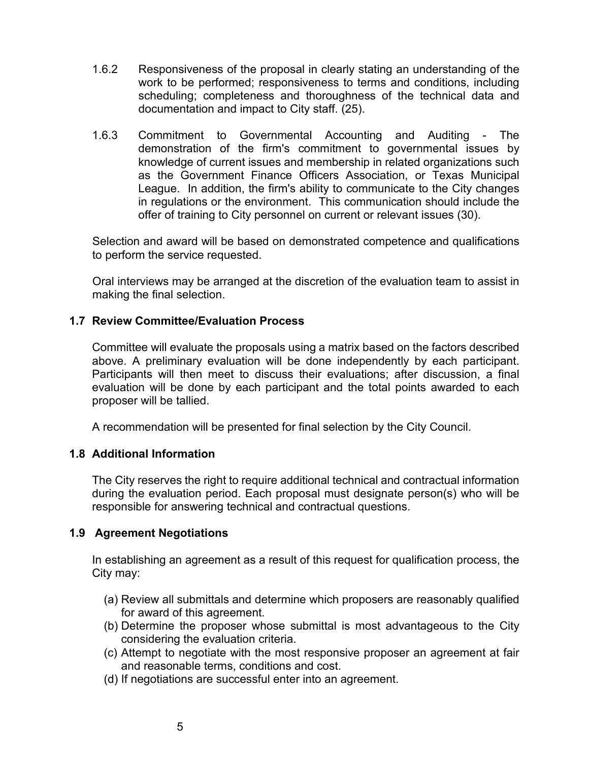- 1.6.2 Responsiveness of the proposal in clearly stating an understanding of the work to be performed; responsiveness to terms and conditions, including scheduling; completeness and thoroughness of the technical data and documentation and impact to City staff. (25).
- 1.6.3 Commitment to Governmental Accounting and Auditing The demonstration of the firm's commitment to governmental issues by knowledge of current issues and membership in related organizations such as the Government Finance Officers Association, or Texas Municipal League. In addition, the firm's ability to communicate to the City changes in regulations or the environment. This communication should include the offer of training to City personnel on current or relevant issues (30).

Selection and award will be based on demonstrated competence and qualifications to perform the service requested.

Oral interviews may be arranged at the discretion of the evaluation team to assist in making the final selection.

## **1.7 Review Committee/Evaluation Process**

Committee will evaluate the proposals using a matrix based on the factors described above. A preliminary evaluation will be done independently by each participant. Participants will then meet to discuss their evaluations; after discussion, a final evaluation will be done by each participant and the total points awarded to each proposer will be tallied.

A recommendation will be presented for final selection by the City Council.

### **1.8 Additional Information**

The City reserves the right to require additional technical and contractual information during the evaluation period. Each proposal must designate person(s) who will be responsible for answering technical and contractual questions.

### **1.9 Agreement Negotiations**

In establishing an agreement as a result of this request for qualification process, the City may:

- (a) Review all submittals and determine which proposers are reasonably qualified for award of this agreement.
- (b) Determine the proposer whose submittal is most advantageous to the City considering the evaluation criteria.
- (c) Attempt to negotiate with the most responsive proposer an agreement at fair and reasonable terms, conditions and cost.
- (d) If negotiations are successful enter into an agreement.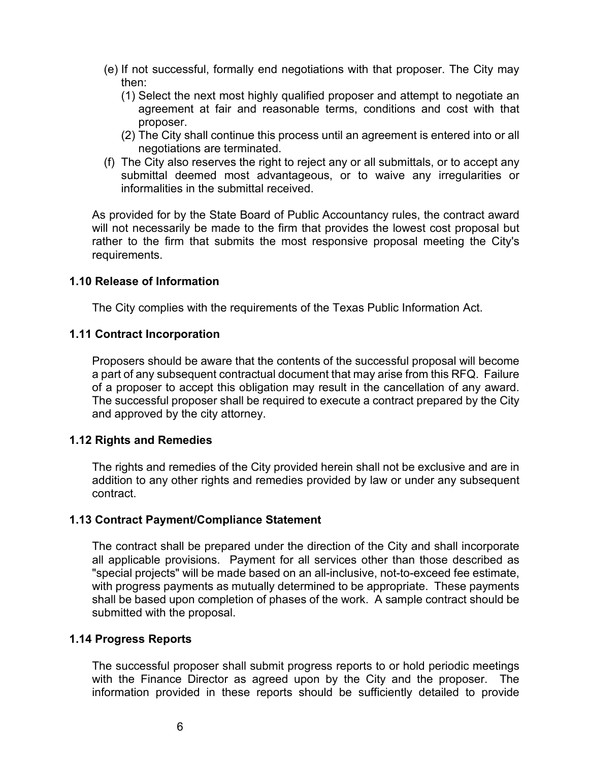- (e) If not successful, formally end negotiations with that proposer. The City may then:
	- (1) Select the next most highly qualified proposer and attempt to negotiate an agreement at fair and reasonable terms, conditions and cost with that proposer.
	- (2) The City shall continue this process until an agreement is entered into or all negotiations are terminated.
- (f) The City also reserves the right to reject any or all submittals, or to accept any submittal deemed most advantageous, or to waive any irregularities or informalities in the submittal received.

As provided for by the State Board of Public Accountancy rules, the contract award will not necessarily be made to the firm that provides the lowest cost proposal but rather to the firm that submits the most responsive proposal meeting the City's requirements.

## **1.10 Release of Information**

The City complies with the requirements of the Texas Public Information Act.

## **1.11 Contract Incorporation**

Proposers should be aware that the contents of the successful proposal will become a part of any subsequent contractual document that may arise from this RFQ. Failure of a proposer to accept this obligation may result in the cancellation of any award. The successful proposer shall be required to execute a contract prepared by the City and approved by the city attorney.

# **1.12 Rights and Remedies**

The rights and remedies of the City provided herein shall not be exclusive and are in addition to any other rights and remedies provided by law or under any subsequent contract.

# **1.13 Contract Payment/Compliance Statement**

The contract shall be prepared under the direction of the City and shall incorporate all applicable provisions. Payment for all services other than those described as "special projects" will be made based on an all-inclusive, not-to-exceed fee estimate, with progress payments as mutually determined to be appropriate. These payments shall be based upon completion of phases of the work. A sample contract should be submitted with the proposal.

### **1.14 Progress Reports**

The successful proposer shall submit progress reports to or hold periodic meetings with the Finance Director as agreed upon by the City and the proposer. The information provided in these reports should be sufficiently detailed to provide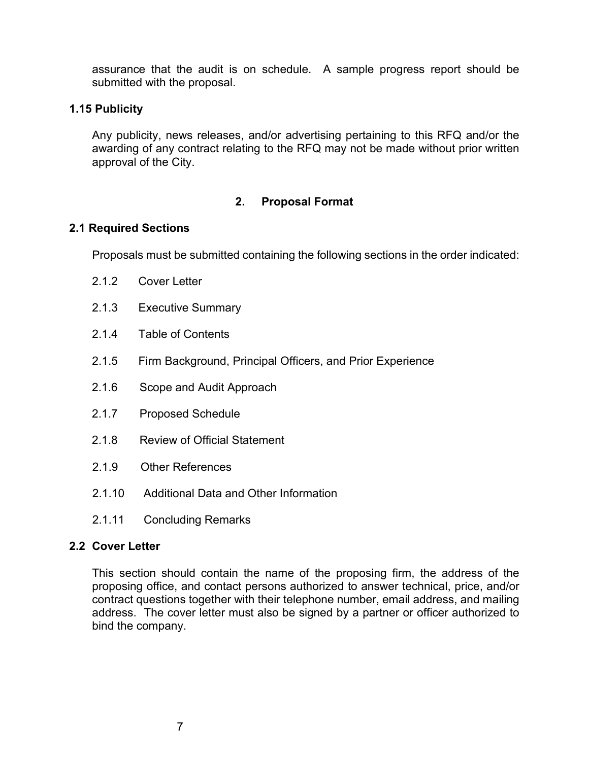assurance that the audit is on schedule. A sample progress report should be submitted with the proposal.

### **1.15 Publicity**

Any publicity, news releases, and/or advertising pertaining to this RFQ and/or the awarding of any contract relating to the RFQ may not be made without prior written approval of the City.

## **2. Proposal Format**

### **2.1 Required Sections**

Proposals must be submitted containing the following sections in the order indicated:

- 2.1.2 Cover Letter
- 2.1.3 Executive Summary
- 2.1.4 Table of Contents
- 2.1.5 Firm Background, Principal Officers, and Prior Experience
- 2.1.6 Scope and Audit Approach
- 2.1.7 Proposed Schedule
- 2.1.8 Review of Official Statement
- 2.1.9 Other References
- 2.1.10 Additional Data and Other Information
- 2.1.11 Concluding Remarks

### **2.2 Cover Letter**

This section should contain the name of the proposing firm, the address of the proposing office, and contact persons authorized to answer technical, price, and/or contract questions together with their telephone number, email address, and mailing address. The cover letter must also be signed by a partner or officer authorized to bind the company.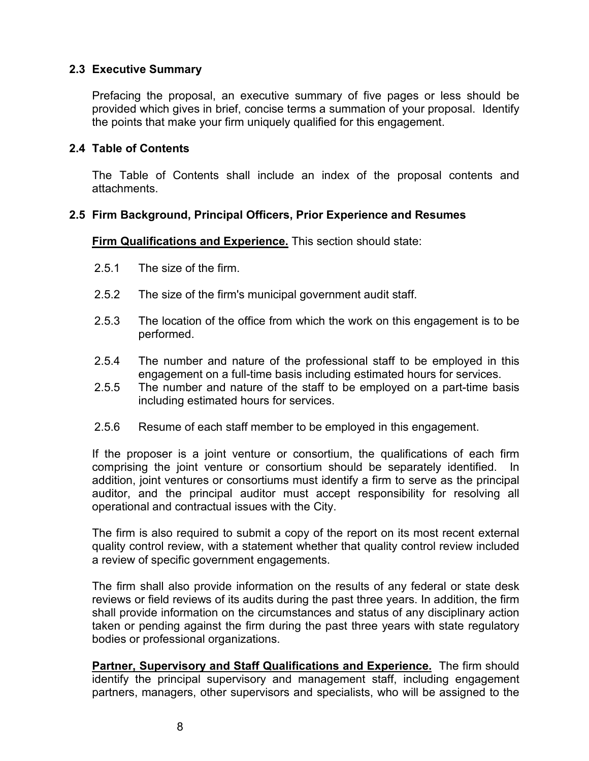### **2.3 Executive Summary**

Prefacing the proposal, an executive summary of five pages or less should be provided which gives in brief, concise terms a summation of your proposal. Identify the points that make your firm uniquely qualified for this engagement.

### **2.4 Table of Contents**

The Table of Contents shall include an index of the proposal contents and attachments.

#### **2.5 Firm Background, Principal Officers, Prior Experience and Resumes**

**Firm Qualifications and Experience.** This section should state:

- 2.5.1 The size of the firm.
- 2.5.2 The size of the firm's municipal government audit staff.
- 2.5.3 The location of the office from which the work on this engagement is to be performed.
- 2.5.4 The number and nature of the professional staff to be employed in this engagement on a full-time basis including estimated hours for services.
- 2.5.5 The number and nature of the staff to be employed on a part-time basis including estimated hours for services.
- 2.5.6 Resume of each staff member to be employed in this engagement.

If the proposer is a joint venture or consortium, the qualifications of each firm comprising the joint venture or consortium should be separately identified. In addition, joint ventures or consortiums must identify a firm to serve as the principal auditor, and the principal auditor must accept responsibility for resolving all operational and contractual issues with the City.

The firm is also required to submit a copy of the report on its most recent external quality control review, with a statement whether that quality control review included a review of specific government engagements.

The firm shall also provide information on the results of any federal or state desk reviews or field reviews of its audits during the past three years. In addition, the firm shall provide information on the circumstances and status of any disciplinary action taken or pending against the firm during the past three years with state regulatory bodies or professional organizations.

**Partner, Supervisory and Staff Qualifications and Experience.** The firm should identify the principal supervisory and management staff, including engagement partners, managers, other supervisors and specialists, who will be assigned to the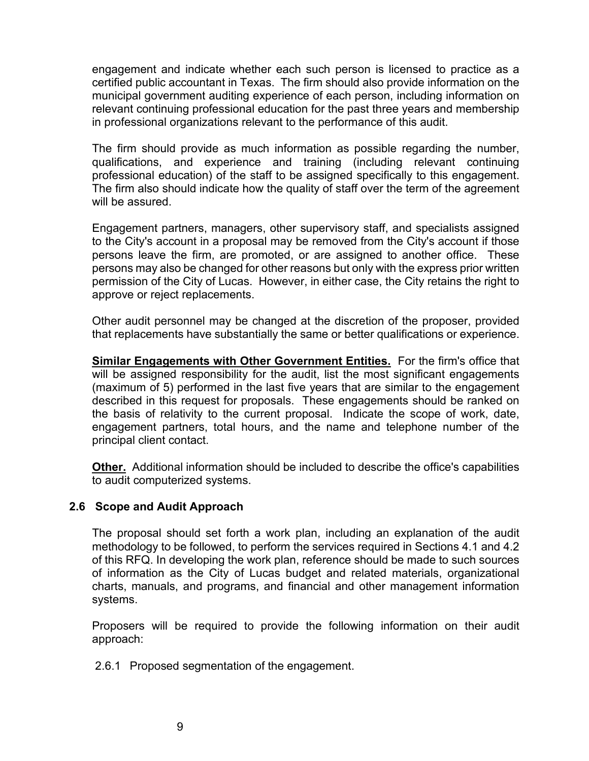engagement and indicate whether each such person is licensed to practice as a certified public accountant in Texas. The firm should also provide information on the municipal government auditing experience of each person, including information on relevant continuing professional education for the past three years and membership in professional organizations relevant to the performance of this audit.

The firm should provide as much information as possible regarding the number, qualifications, and experience and training (including relevant continuing professional education) of the staff to be assigned specifically to this engagement. The firm also should indicate how the quality of staff over the term of the agreement will be assured.

Engagement partners, managers, other supervisory staff, and specialists assigned to the City's account in a proposal may be removed from the City's account if those persons leave the firm, are promoted, or are assigned to another office. These persons may also be changed for other reasons but only with the express prior written permission of the City of Lucas. However, in either case, the City retains the right to approve or reject replacements.

Other audit personnel may be changed at the discretion of the proposer, provided that replacements have substantially the same or better qualifications or experience.

**Similar Engagements with Other Government Entities.** For the firm's office that will be assigned responsibility for the audit, list the most significant engagements (maximum of 5) performed in the last five years that are similar to the engagement described in this request for proposals. These engagements should be ranked on the basis of relativity to the current proposal. Indicate the scope of work, date, engagement partners, total hours, and the name and telephone number of the principal client contact.

**Other.** Additional information should be included to describe the office's capabilities to audit computerized systems.

### **2.6 Scope and Audit Approach**

The proposal should set forth a work plan, including an explanation of the audit methodology to be followed, to perform the services required in Sections 4.1 and 4.2 of this RFQ. In developing the work plan, reference should be made to such sources of information as the City of Lucas budget and related materials, organizational charts, manuals, and programs, and financial and other management information systems.

Proposers will be required to provide the following information on their audit approach:

2.6.1 Proposed segmentation of the engagement.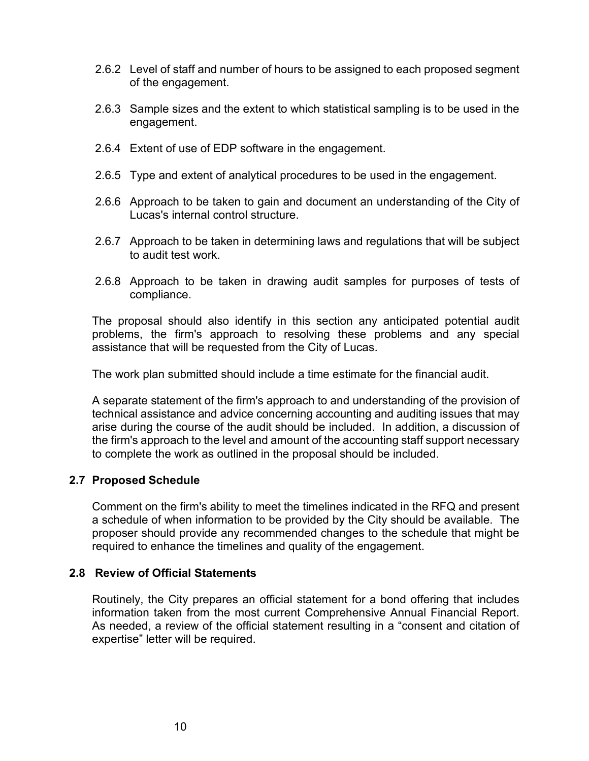- 2.6.2 Level of staff and number of hours to be assigned to each proposed segment of the engagement.
- 2.6.3 Sample sizes and the extent to which statistical sampling is to be used in the engagement.
- 2.6.4 Extent of use of EDP software in the engagement.
- 2.6.5 Type and extent of analytical procedures to be used in the engagement.
- 2.6.6 Approach to be taken to gain and document an understanding of the City of Lucas's internal control structure.
- 2.6.7 Approach to be taken in determining laws and regulations that will be subject to audit test work.
- 2.6.8 Approach to be taken in drawing audit samples for purposes of tests of compliance.

The proposal should also identify in this section any anticipated potential audit problems, the firm's approach to resolving these problems and any special assistance that will be requested from the City of Lucas.

The work plan submitted should include a time estimate for the financial audit.

A separate statement of the firm's approach to and understanding of the provision of technical assistance and advice concerning accounting and auditing issues that may arise during the course of the audit should be included. In addition, a discussion of the firm's approach to the level and amount of the accounting staff support necessary to complete the work as outlined in the proposal should be included.

### **2.7 Proposed Schedule**

Comment on the firm's ability to meet the timelines indicated in the RFQ and present a schedule of when information to be provided by the City should be available. The proposer should provide any recommended changes to the schedule that might be required to enhance the timelines and quality of the engagement.

#### **2.8 Review of Official Statements**

Routinely, the City prepares an official statement for a bond offering that includes information taken from the most current Comprehensive Annual Financial Report. As needed, a review of the official statement resulting in a "consent and citation of expertise" letter will be required.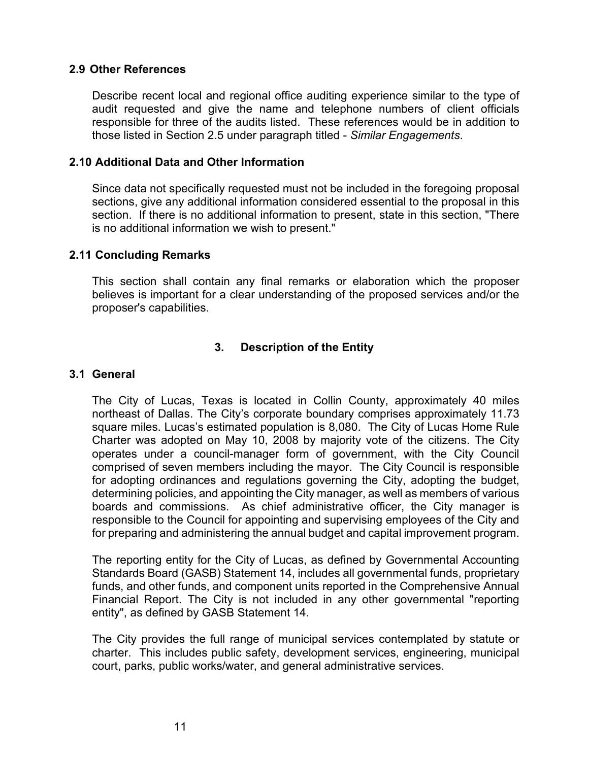#### **2.9 Other References**

Describe recent local and regional office auditing experience similar to the type of audit requested and give the name and telephone numbers of client officials responsible for three of the audits listed. These references would be in addition to those listed in Section 2.5 under paragraph titled - *Similar Engagements*.

#### **2.10 Additional Data and Other Information**

Since data not specifically requested must not be included in the foregoing proposal sections, give any additional information considered essential to the proposal in this section. If there is no additional information to present, state in this section, "There is no additional information we wish to present."

#### **2.11 Concluding Remarks**

This section shall contain any final remarks or elaboration which the proposer believes is important for a clear understanding of the proposed services and/or the proposer's capabilities.

# **3. Description of the Entity**

#### **3.1 General**

The City of Lucas, Texas is located in Collin County, approximately 40 miles northeast of Dallas. The City's corporate boundary comprises approximately 11.73 square miles. Lucas's estimated population is 8,080. The City of Lucas Home Rule Charter was adopted on May 10, 2008 by majority vote of the citizens. The City operates under a council-manager form of government, with the City Council comprised of seven members including the mayor. The City Council is responsible for adopting ordinances and regulations governing the City, adopting the budget, determining policies, and appointing the City manager, as well as members of various boards and commissions. As chief administrative officer, the City manager is responsible to the Council for appointing and supervising employees of the City and for preparing and administering the annual budget and capital improvement program.

The reporting entity for the City of Lucas, as defined by Governmental Accounting Standards Board (GASB) Statement 14, includes all governmental funds, proprietary funds, and other funds, and component units reported in the Comprehensive Annual Financial Report. The City is not included in any other governmental "reporting entity", as defined by GASB Statement 14.

The City provides the full range of municipal services contemplated by statute or charter. This includes public safety, development services, engineering, municipal court, parks, public works/water, and general administrative services.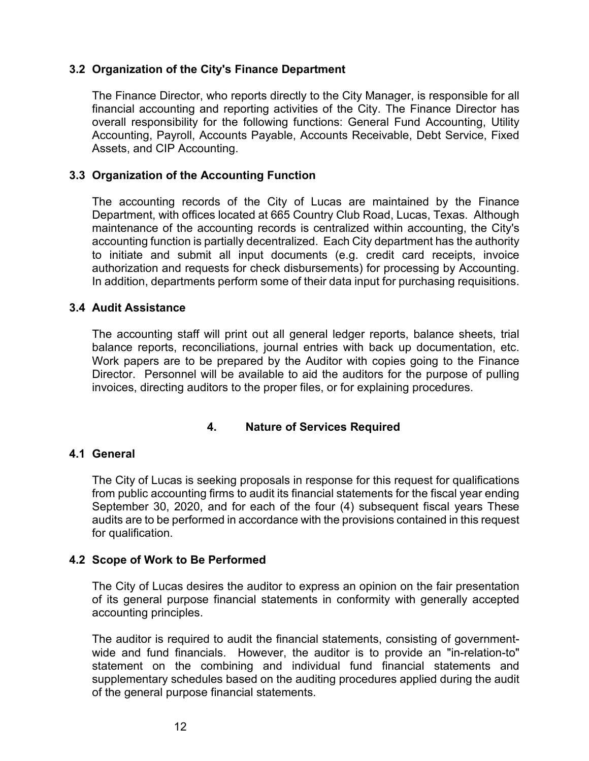### **3.2 Organization of the City's Finance Department**

The Finance Director, who reports directly to the City Manager, is responsible for all financial accounting and reporting activities of the City. The Finance Director has overall responsibility for the following functions: General Fund Accounting, Utility Accounting, Payroll, Accounts Payable, Accounts Receivable, Debt Service, Fixed Assets, and CIP Accounting.

### **3.3 Organization of the Accounting Function**

The accounting records of the City of Lucas are maintained by the Finance Department, with offices located at 665 Country Club Road, Lucas, Texas. Although maintenance of the accounting records is centralized within accounting, the City's accounting function is partially decentralized. Each City department has the authority to initiate and submit all input documents (e.g. credit card receipts, invoice authorization and requests for check disbursements) for processing by Accounting. In addition, departments perform some of their data input for purchasing requisitions.

### **3.4 Audit Assistance**

The accounting staff will print out all general ledger reports, balance sheets, trial balance reports, reconciliations, journal entries with back up documentation, etc. Work papers are to be prepared by the Auditor with copies going to the Finance Director. Personnel will be available to aid the auditors for the purpose of pulling invoices, directing auditors to the proper files, or for explaining procedures.

### **4. Nature of Services Required**

### **4.1 General**

The City of Lucas is seeking proposals in response for this request for qualifications from public accounting firms to audit its financial statements for the fiscal year ending September 30, 2020, and for each of the four (4) subsequent fiscal years These audits are to be performed in accordance with the provisions contained in this request for qualification.

### **4.2 Scope of Work to Be Performed**

The City of Lucas desires the auditor to express an opinion on the fair presentation of its general purpose financial statements in conformity with generally accepted accounting principles.

The auditor is required to audit the financial statements, consisting of governmentwide and fund financials. However, the auditor is to provide an "in-relation-to" statement on the combining and individual fund financial statements and supplementary schedules based on the auditing procedures applied during the audit of the general purpose financial statements.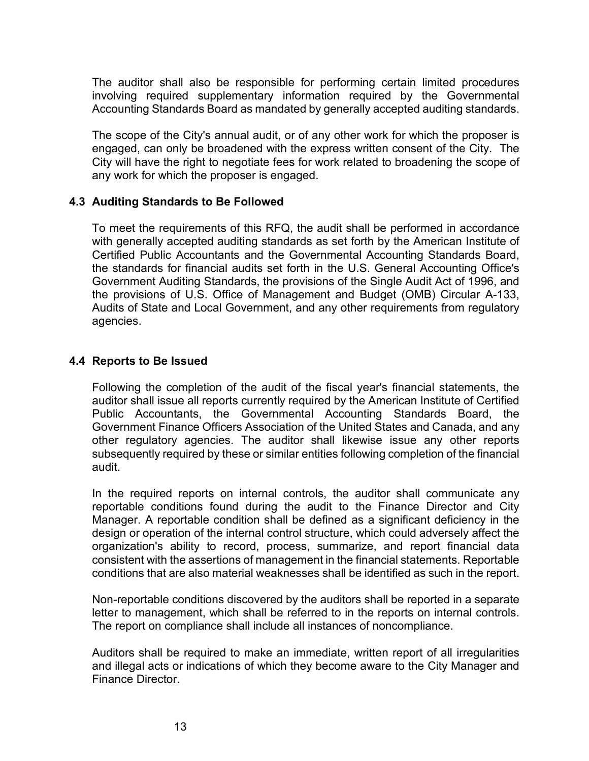The auditor shall also be responsible for performing certain limited procedures involving required supplementary information required by the Governmental Accounting Standards Board as mandated by generally accepted auditing standards.

The scope of the City's annual audit, or of any other work for which the proposer is engaged, can only be broadened with the express written consent of the City. The City will have the right to negotiate fees for work related to broadening the scope of any work for which the proposer is engaged.

### **4.3 Auditing Standards to Be Followed**

To meet the requirements of this RFQ, the audit shall be performed in accordance with generally accepted auditing standards as set forth by the American Institute of Certified Public Accountants and the Governmental Accounting Standards Board, the standards for financial audits set forth in the U.S. General Accounting Office's Government Auditing Standards, the provisions of the Single Audit Act of 1996, and the provisions of U.S. Office of Management and Budget (OMB) Circular A-133, Audits of State and Local Government, and any other requirements from regulatory agencies.

#### **4.4 Reports to Be Issued**

Following the completion of the audit of the fiscal year's financial statements, the auditor shall issue all reports currently required by the American Institute of Certified Public Accountants, the Governmental Accounting Standards Board, the Government Finance Officers Association of the United States and Canada, and any other regulatory agencies. The auditor shall likewise issue any other reports subsequently required by these or similar entities following completion of the financial audit.

In the required reports on internal controls, the auditor shall communicate any reportable conditions found during the audit to the Finance Director and City Manager. A reportable condition shall be defined as a significant deficiency in the design or operation of the internal control structure, which could adversely affect the organization's ability to record, process, summarize, and report financial data consistent with the assertions of management in the financial statements. Reportable conditions that are also material weaknesses shall be identified as such in the report.

Non-reportable conditions discovered by the auditors shall be reported in a separate letter to management, which shall be referred to in the reports on internal controls. The report on compliance shall include all instances of noncompliance.

Auditors shall be required to make an immediate, written report of all irregularities and illegal acts or indications of which they become aware to the City Manager and Finance Director.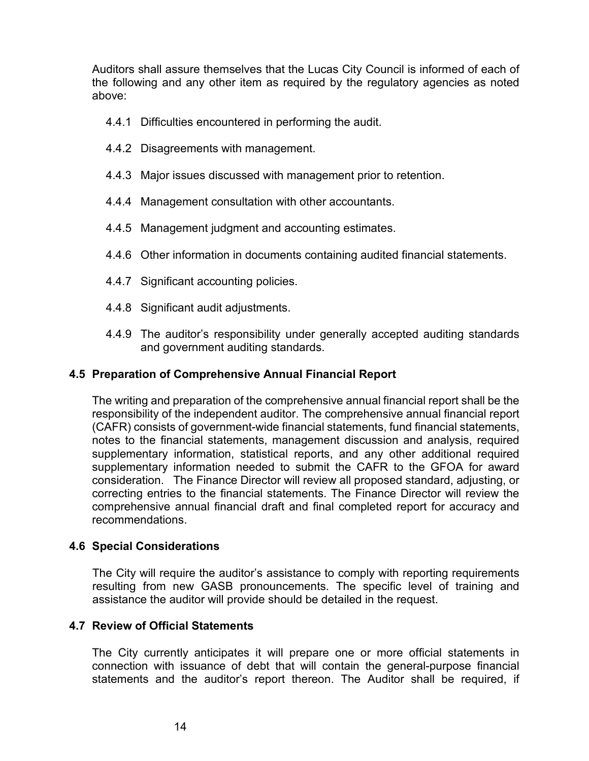Auditors shall assure themselves that the Lucas City Council is informed of each of the following and any other item as required by the regulatory agencies as noted above:

- 4.4.1 Difficulties encountered in performing the audit.
- 4.4.2 Disagreements with management.
- 4.4.3 Major issues discussed with management prior to retention.
- 4.4.4 Management consultation with other accountants.
- 4.4.5 Management judgment and accounting estimates.
- 4.4.6 Other information in documents containing audited financial statements.
- 4.4.7 Significant accounting policies.
- 4.4.8 Significant audit adjustments.
- 4.4.9 The auditor's responsibility under generally accepted auditing standards and government auditing standards.

### **4.5 Preparation of Comprehensive Annual Financial Report**

The writing and preparation of the comprehensive annual financial report shall be the responsibility of the independent auditor. The comprehensive annual financial report (CAFR) consists of government-wide financial statements, fund financial statements, notes to the financial statements, management discussion and analysis, required supplementary information, statistical reports, and any other additional required supplementary information needed to submit the CAFR to the GFOA for award consideration. The Finance Director will review all proposed standard, adjusting, or correcting entries to the financial statements. The Finance Director will review the comprehensive annual financial draft and final completed report for accuracy and recommendations.

### **4.6 Special Considerations**

The City will require the auditor's assistance to comply with reporting requirements resulting from new GASB pronouncements. The specific level of training and assistance the auditor will provide should be detailed in the request.

### **4.7 Review of Official Statements**

The City currently anticipates it will prepare one or more official statements in connection with issuance of debt that will contain the general-purpose financial statements and the auditor's report thereon. The Auditor shall be required, if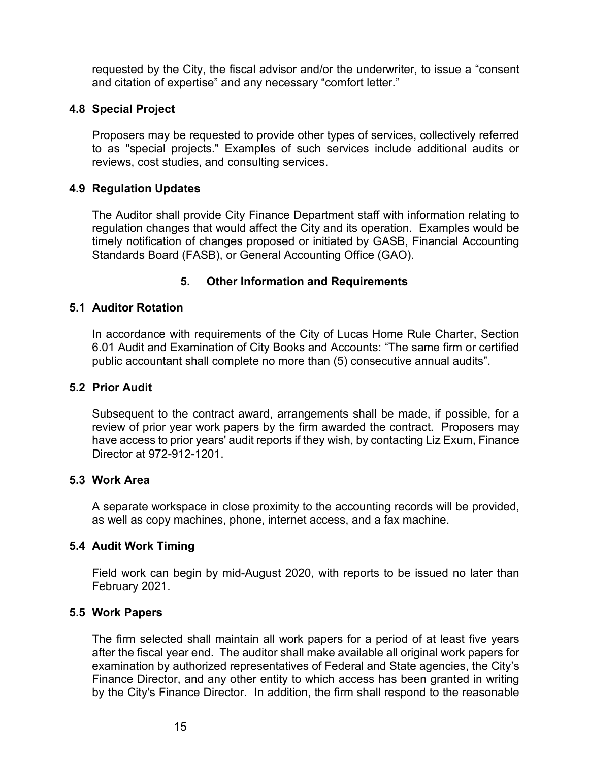requested by the City, the fiscal advisor and/or the underwriter, to issue a "consent and citation of expertise" and any necessary "comfort letter."

## **4.8 Special Project**

Proposers may be requested to provide other types of services, collectively referred to as "special projects." Examples of such services include additional audits or reviews, cost studies, and consulting services.

### **4.9 Regulation Updates**

The Auditor shall provide City Finance Department staff with information relating to regulation changes that would affect the City and its operation. Examples would be timely notification of changes proposed or initiated by GASB, Financial Accounting Standards Board (FASB), or General Accounting Office (GAO).

## **5. Other Information and Requirements**

## **5.1 Auditor Rotation**

In accordance with requirements of the City of Lucas Home Rule Charter, Section 6.01 Audit and Examination of City Books and Accounts: "The same firm or certified public accountant shall complete no more than (5) consecutive annual audits".

### **5.2 Prior Audit**

Subsequent to the contract award, arrangements shall be made, if possible, for a review of prior year work papers by the firm awarded the contract. Proposers may have access to prior years' audit reports if they wish, by contacting Liz Exum, Finance Director at 972-912-1201.

### **5.3 Work Area**

A separate workspace in close proximity to the accounting records will be provided, as well as copy machines, phone, internet access, and a fax machine.

### **5.4 Audit Work Timing**

Field work can begin by mid-August 2020, with reports to be issued no later than February 2021.

### **5.5 Work Papers**

The firm selected shall maintain all work papers for a period of at least five years after the fiscal year end. The auditor shall make available all original work papers for examination by authorized representatives of Federal and State agencies, the City's Finance Director, and any other entity to which access has been granted in writing by the City's Finance Director. In addition, the firm shall respond to the reasonable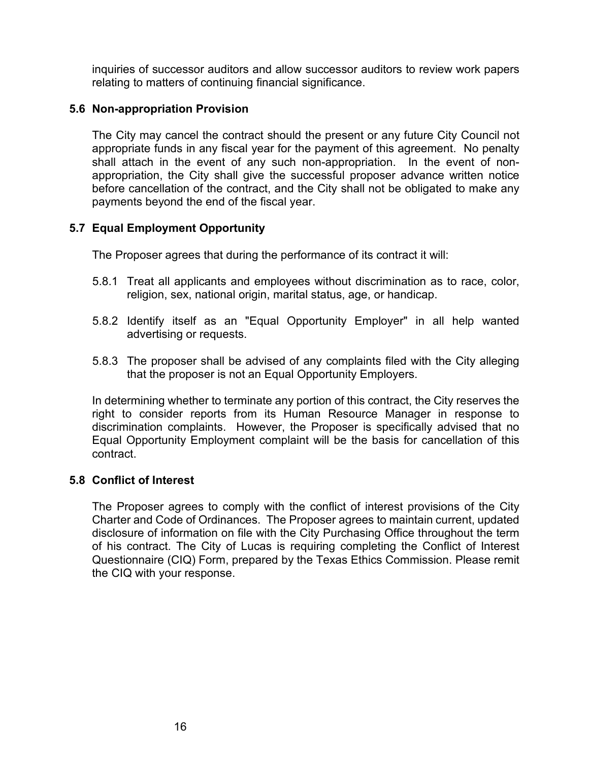inquiries of successor auditors and allow successor auditors to review work papers relating to matters of continuing financial significance.

## **5.6 Non-appropriation Provision**

The City may cancel the contract should the present or any future City Council not appropriate funds in any fiscal year for the payment of this agreement. No penalty shall attach in the event of any such non-appropriation. In the event of nonappropriation, the City shall give the successful proposer advance written notice before cancellation of the contract, and the City shall not be obligated to make any payments beyond the end of the fiscal year.

# **5.7 Equal Employment Opportunity**

The Proposer agrees that during the performance of its contract it will:

- 5.8.1 Treat all applicants and employees without discrimination as to race, color, religion, sex, national origin, marital status, age, or handicap.
- 5.8.2 Identify itself as an "Equal Opportunity Employer" in all help wanted advertising or requests.
- 5.8.3 The proposer shall be advised of any complaints filed with the City alleging that the proposer is not an Equal Opportunity Employers.

In determining whether to terminate any portion of this contract, the City reserves the right to consider reports from its Human Resource Manager in response to discrimination complaints. However, the Proposer is specifically advised that no Equal Opportunity Employment complaint will be the basis for cancellation of this contract.

### **5.8 Conflict of Interest**

The Proposer agrees to comply with the conflict of interest provisions of the City Charter and Code of Ordinances. The Proposer agrees to maintain current, updated disclosure of information on file with the City Purchasing Office throughout the term of his contract. The City of Lucas is requiring completing the Conflict of Interest Questionnaire (CIQ) Form, prepared by the Texas Ethics Commission. Please remit the CIQ with your response.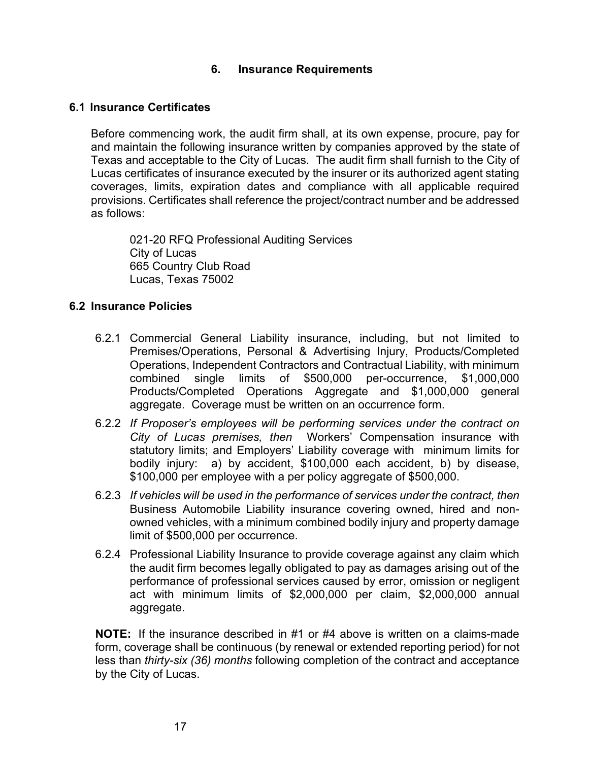## **6. Insurance Requirements**

#### **6.1 Insurance Certificates**

Before commencing work, the audit firm shall, at its own expense, procure, pay for and maintain the following insurance written by companies approved by the state of Texas and acceptable to the City of Lucas. The audit firm shall furnish to the City of Lucas certificates of insurance executed by the insurer or its authorized agent stating coverages, limits, expiration dates and compliance with all applicable required provisions. Certificates shall reference the project/contract number and be addressed as follows:

021-20 RFQ Professional Auditing Services City of Lucas 665 Country Club Road Lucas, Texas 75002

### **6.2 Insurance Policies**

- 6.2.1 Commercial General Liability insurance, including, but not limited to Premises/Operations, Personal & Advertising Injury, Products/Completed Operations, Independent Contractors and Contractual Liability, with minimum combined single limits of \$500,000 per-occurrence, \$1,000,000 Products/Completed Operations Aggregate and \$1,000,000 general aggregate. Coverage must be written on an occurrence form.
- 6.2.2 *If Proposer's employees will be performing services under the contract on City of Lucas premises, then* Workers' Compensation insurance with statutory limits; and Employers' Liability coverage with minimum limits for bodily injury: a) by accident, \$100,000 each accident, b) by disease, \$100,000 per employee with a per policy aggregate of \$500,000.
- 6.2.3 *If vehicles will be used in the performance of services under the contract, then*  Business Automobile Liability insurance covering owned, hired and nonowned vehicles, with a minimum combined bodily injury and property damage limit of \$500,000 per occurrence.
- 6.2.4 Professional Liability Insurance to provide coverage against any claim which the audit firm becomes legally obligated to pay as damages arising out of the performance of professional services caused by error, omission or negligent act with minimum limits of \$2,000,000 per claim, \$2,000,000 annual aggregate.

**NOTE:** If the insurance described in #1 or #4 above is written on a claims-made form, coverage shall be continuous (by renewal or extended reporting period) for not less than *thirty-six (36) months* following completion of the contract and acceptance by the City of Lucas.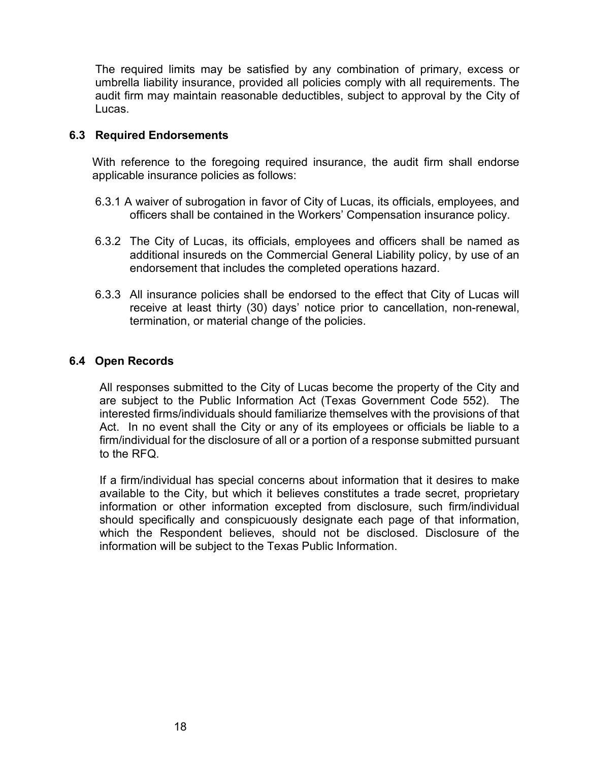The required limits may be satisfied by any combination of primary, excess or umbrella liability insurance, provided all policies comply with all requirements. The audit firm may maintain reasonable deductibles, subject to approval by the City of Lucas.

### **6.3 Required Endorsements**

With reference to the foregoing required insurance, the audit firm shall endorse applicable insurance policies as follows:

- 6.3.1 A waiver of subrogation in favor of City of Lucas, its officials, employees, and officers shall be contained in the Workers' Compensation insurance policy.
- 6.3.2 The City of Lucas, its officials, employees and officers shall be named as additional insureds on the Commercial General Liability policy, by use of an endorsement that includes the completed operations hazard.
- 6.3.3 All insurance policies shall be endorsed to the effect that City of Lucas will receive at least thirty (30) days' notice prior to cancellation, non-renewal, termination, or material change of the policies.

## **6.4 Open Records**

All responses submitted to the City of Lucas become the property of the City and are subject to the Public Information Act (Texas Government Code 552). The interested firms/individuals should familiarize themselves with the provisions of that Act. In no event shall the City or any of its employees or officials be liable to a firm/individual for the disclosure of all or a portion of a response submitted pursuant to the RFQ.

If a firm/individual has special concerns about information that it desires to make available to the City, but which it believes constitutes a trade secret, proprietary information or other information excepted from disclosure, such firm/individual should specifically and conspicuously designate each page of that information, which the Respondent believes, should not be disclosed. Disclosure of the information will be subject to the Texas Public Information.